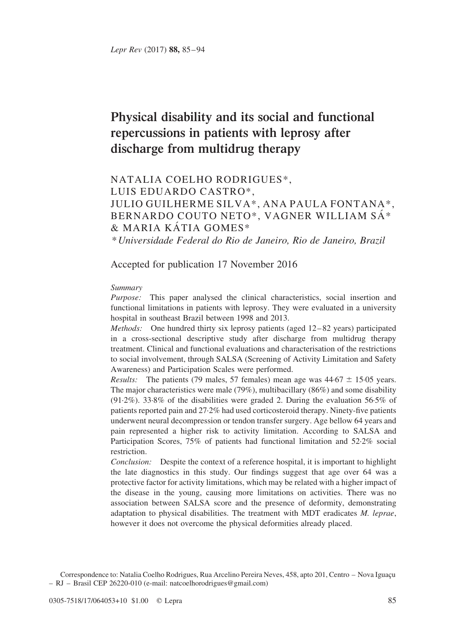# Physical disability and its social and functional repercussions in patients with leprosy after discharge from multidrug therapy

# NATALIA COELHO RODRIGUES\*, LUIS EDUARDO CASTRO\*, JULIO GUILHERME SILVA\*, ANA PAULA FONTANA\*, BERNARDO COUTO NETO\*, VAGNER WILLIAM SÁ\*  $&$  MARIA KÁTIA GOMES\*

\* Universidade Federal do Rio de Janeiro, Rio de Janeiro, Brazil

Accepted for publication 17 November 2016

#### Summary

Purpose: This paper analysed the clinical characteristics, social insertion and functional limitations in patients with leprosy. They were evaluated in a university hospital in southeast Brazil between 1998 and 2013.

Methods: One hundred thirty six leprosy patients (aged 12–82 years) participated in a cross-sectional descriptive study after discharge from multidrug therapy treatment. Clinical and functional evaluations and characterisation of the restrictions to social involvement, through SALSA (Screening of Activity Limitation and Safety Awareness) and Participation Scales were performed.

*Results:* The patients (79 males, 57 females) mean age was  $44.67 \pm 15.05$  years. The major characteristics were male (79%), multibacillary (86%) and some disability (91·2%). 33·8% of the disabilities were graded 2. During the evaluation 56·5% of patients reported pain and 27·2% had used corticosteroid therapy. Ninety-five patients underwent neural decompression or tendon transfer surgery. Age bellow 64 years and pain represented a higher risk to activity limitation. According to SALSA and Participation Scores, 75% of patients had functional limitation and 52·2% social restriction.

Conclusion: Despite the context of a reference hospital, it is important to highlight the late diagnostics in this study. Our findings suggest that age over 64 was a protective factor for activity limitations, which may be related with a higher impact of the disease in the young, causing more limitations on activities. There was no association between SALSA score and the presence of deformity, demonstrating adaptation to physical disabilities. The treatment with MDT eradicates M. leprae, however it does not overcome the physical deformities already placed.

Correspondence to: Natalia Coelho Rodrigues, Rua Arcelino Pereira Neves, 458, apto 201, Centro - Nova Iguaçu – RJ – Brasil CEP 26220-010 (e-mail: natcoelhorodrigues@gmail.com)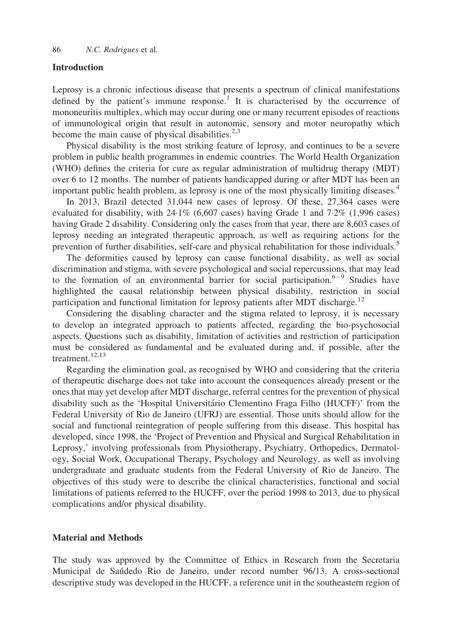#### Introduction

Leprosy is a chronic infectious disease that presents a spectrum of clinical manifestations defined by the patient's immune response.<sup>1</sup> It is characterised by the occurrence of mononeuritis multiplex, which may occur during one or many recurrent episodes of reactions of immunological origin that result in autonomic, sensory and motor neuropathy which become the main cause of physical disabilities. $2,3$ 

Physical disability is the most striking feature of leprosy, and continues to be a severe problem in public health programmes in endemic countries. The World Health Organization (WHO) defines the criteria for cure as regular administration of multidrug therapy (MDT) over 6 to 12 months. The number of patients handicapped during or after MDT has been an important public health problem, as leprosy is one of the most physically limiting diseases.<sup>[4](#page-8-0)</sup>

In 2013, Brazil detected 31,044 new cases of leprosy. Of these, 27,364 cases were evaluated for disability, with 24·1% (6,607 cases) having Grade 1 and 7·2% (1,996 cases) having Grade 2 disability. Considering only the cases from that year, there are 8,603 cases of leprosy needing an integrated therapeutic approach, as well as requiring actions for the prevention of further disabilities, self-care and physical rehabilitation for those individuals.<sup>[5](#page-8-0)</sup>

The deformities caused by leprosy can cause functional disability, as well as social discrimination and stigma, with severe psychological and social repercussions, that may lead to the formation of an environmental barrier for social participation.<sup>[6–9](#page-8-0)</sup> Studies have highlighted the causal relationship between physical disability, restriction in social participation and functional limitation for leprosy patients after MDT discharge.<sup>[12](#page-8-0)</sup>

Considering the disabling character and the stigma related to leprosy, it is necessary to develop an integrated approach to patients affected, regarding the bio-psychosocial aspects. Questions such as disability, limitation of activities and restriction of participation must be considered as fundamental and be evaluated during and, if possible, after the treatment.<sup>12,13</sup>

Regarding the elimination goal, as recognised by WHO and considering that the criteria of therapeutic discharge does not take into account the consequences already present or the ones that may yet develop after MDT discharge, referral centres for the prevention of physical disability such as the 'Hospital Universitário Clementino Fraga Filho (HUCFF)' from the Federal University of Rio de Janeiro (UFRJ) are essential. Those units should allow for the social and functional reintegration of people suffering from this disease. This hospital has developed, since 1998, the 'Project of Prevention and Physical and Surgical Rehabilitation in Leprosy,' involving professionals from Physiotherapy, Psychiatry, Orthopedics, Dermatology, Social Work, Occupational Therapy, Psychology and Neurology, as well as involving undergraduate and graduate students from the Federal University of Rio de Janeiro. The objectives of this study were to describe the clinical characteristics, functional and social limitations of patients referred to the HUCFF, over the period 1998 to 2013, due to physical complications and/or physical disability.

# Material and Methods

The study was approved by the Committee of Ethics in Research from the Secretaria Municipal de Saúdedo Rio de Janeiro, under record number 96/13. A cross-sectional descriptive study was developed in the HUCFF, a reference unit in the southeastern region of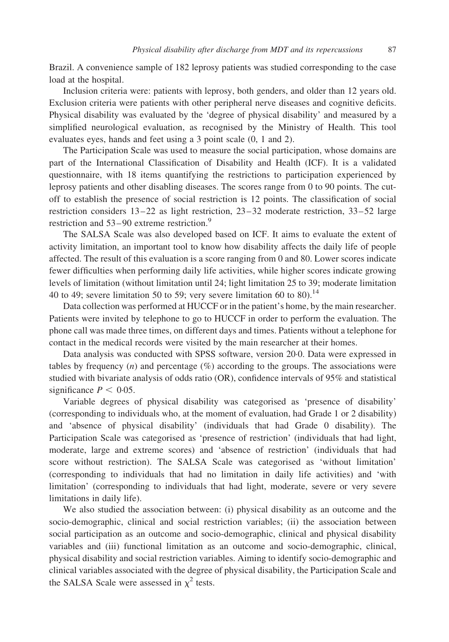Brazil. A convenience sample of 182 leprosy patients was studied corresponding to the case load at the hospital.

Inclusion criteria were: patients with leprosy, both genders, and older than 12 years old. Exclusion criteria were patients with other peripheral nerve diseases and cognitive deficits. Physical disability was evaluated by the 'degree of physical disability' and measured by a simplified neurological evaluation, as recognised by the Ministry of Health. This tool evaluates eyes, hands and feet using a 3 point scale (0, 1 and 2).

The Participation Scale was used to measure the social participation, whose domains are part of the International Classification of Disability and Health (ICF). It is a validated questionnaire, with 18 items quantifying the restrictions to participation experienced by leprosy patients and other disabling diseases. The scores range from 0 to 90 points. The cutoff to establish the presence of social restriction is 12 points. The classification of social restriction considers 13–22 as light restriction, 23–32 moderate restriction, 33–52 large restriction and 53–[9](#page-8-0)0 extreme restriction.<sup>9</sup>

The SALSA Scale was also developed based on ICF. It aims to evaluate the extent of activity limitation, an important tool to know how disability affects the daily life of people affected. The result of this evaluation is a score ranging from 0 and 80. Lower scores indicate fewer difficulties when performing daily life activities, while higher scores indicate growing levels of limitation (without limitation until 24; light limitation 25 to 39; moderate limitation 40 to 49; severe limitation 50 to 59; very severe limitation 60 to 80 $^{14}$ 

Data collection was performed at HUCCF or in the patient's home, by the main researcher. Patients were invited by telephone to go to HUCCF in order to perform the evaluation. The phone call was made three times, on different days and times. Patients without a telephone for contact in the medical records were visited by the main researcher at their homes.

Data analysis was conducted with SPSS software, version 20·0. Data were expressed in tables by frequency  $(n)$  and percentage  $(\%)$  according to the groups. The associations were studied with bivariate analysis of odds ratio (OR), confidence intervals of 95% and statistical significance  $P < 0.05$ .

Variable degrees of physical disability was categorised as 'presence of disability' (corresponding to individuals who, at the moment of evaluation, had Grade 1 or 2 disability) and 'absence of physical disability' (individuals that had Grade 0 disability). The Participation Scale was categorised as 'presence of restriction' (individuals that had light, moderate, large and extreme scores) and 'absence of restriction' (individuals that had score without restriction). The SALSA Scale was categorised as 'without limitation' (corresponding to individuals that had no limitation in daily life activities) and 'with limitation' (corresponding to individuals that had light, moderate, severe or very severe limitations in daily life).

We also studied the association between: (i) physical disability as an outcome and the socio-demographic, clinical and social restriction variables; (ii) the association between social participation as an outcome and socio-demographic, clinical and physical disability variables and (iii) functional limitation as an outcome and socio-demographic, clinical, physical disability and social restriction variables. Aiming to identify socio-demographic and clinical variables associated with the degree of physical disability, the Participation Scale and the SALSA Scale were assessed in  $\chi^2$  tests.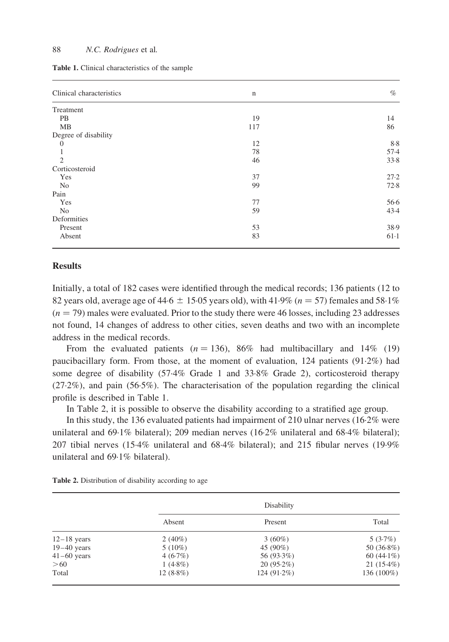|  |  |  | <b>Table 1.</b> Clinical characteristics of the sample |  |  |  |
|--|--|--|--------------------------------------------------------|--|--|--|
|--|--|--|--------------------------------------------------------|--|--|--|

| Clinical characteristics | $\mathbf n$ | $\%$   |
|--------------------------|-------------|--------|
| Treatment                |             |        |
| <b>PB</b>                | 19          | 14     |
| MB                       | 117         | 86     |
| Degree of disability     |             |        |
| $\Omega$                 | 12          | 8.8    |
|                          | 78          | $57-4$ |
| $\overline{2}$           | 46          | 33.8   |
| Corticosteroid           |             |        |
| Yes                      | 37          | 27.2   |
| No                       | 99          | 72.8   |
| Pain                     |             |        |
| Yes                      | 77          | $56-6$ |
| N <sub>0</sub>           | 59          | 43.4   |
| Deformities              |             |        |
| Present                  | 53          | 38.9   |
| Absent                   | 83          | $61-1$ |

### Results

Initially, a total of 182 cases were identified through the medical records; 136 patients (12 to 82 years old, average age of 44·6  $\pm$  15·05 years old), with 41·9% ( $n = 57$ ) females and 58·1%  $(n = 79)$  males were evaluated. Prior to the study there were 46 losses, including 23 addresses not found, 14 changes of address to other cities, seven deaths and two with an incomplete address in the medical records.

From the evaluated patients ( $n = 136$ ), 86% had multibacillary and 14% (19) paucibacillary form. From those, at the moment of evaluation, 124 patients (91·2%) had some degree of disability (57·4% Grade 1 and 33·8% Grade 2), corticosteroid therapy  $(27.2\%)$ , and pain  $(56.5\%)$ . The characterisation of the population regarding the clinical profile is described in Table 1.

In Table 2, it is possible to observe the disability according to a stratified age group.

In this study, the 136 evaluated patients had impairment of 210 ulnar nerves (16·2% were unilateral and 69·1% bilateral); 209 median nerves (16·2% unilateral and 68·4% bilateral); 207 tibial nerves (15·4% unilateral and 68·4% bilateral); and 215 fibular nerves (19·9% unilateral and 69·1% bilateral).

|  | Table 2. Distribution of disability according to age |  |  |  |  |  |
|--|------------------------------------------------------|--|--|--|--|--|
|--|------------------------------------------------------|--|--|--|--|--|

|               |             | Disability    |               |
|---------------|-------------|---------------|---------------|
|               | Absent      | Present       | Total         |
| $12-18$ years | $2(40\%)$   | $3(60\%)$     | $5(3.7\%)$    |
| $19-40$ years | $5(10\%)$   | 45 (90%)      | 50 $(36.8\%)$ |
| $41-60$ years | $4(6.7\%)$  | 56 (93.3%)    | 60 $(44.1\%)$ |
| >60           | $1(4.8\%)$  | $20(95.2\%)$  | $21(15.4\%)$  |
| Total         | $12(8.8\%)$ | $124(91.2\%)$ | 136 (100%)    |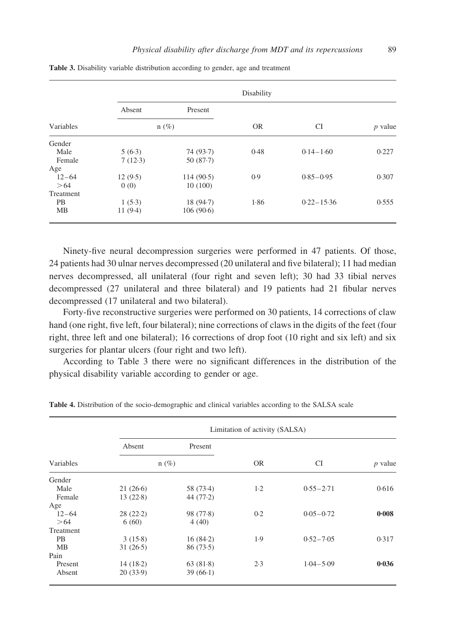|           |         |           | Disability |                |           |
|-----------|---------|-----------|------------|----------------|-----------|
|           | Absent  | Present   |            |                |           |
| Variables |         | $n(\%)$   | <b>OR</b>  | <b>CI</b>      | $p$ value |
| Gender    |         |           |            |                |           |
| Male      | 5(6.3)  | 74 (93.7) | 0.48       | $0.14 - 1.60$  | 0.227     |
| Female    | 7(12.3) | 50(87.7)  |            |                |           |
| Age       |         |           |            |                |           |
| $12 - 64$ | 12(9.5) | 114(90.5) | 0.9        | $0.85 - 0.95$  | 0.307     |
| >64       | 0(0)    | 10(100)   |            |                |           |
| Treatment |         |           |            |                |           |
| <b>PB</b> | 1(5.3)  | 18(94.7)  | 1.86       | $0.22 - 15.36$ | 0.555     |
| MB        | 11(9.4) | 106(90.6) |            |                |           |

<span id="page-4-0"></span>Table 3. Disability variable distribution according to gender, age and treatment

Ninety-five neural decompression surgeries were performed in 47 patients. Of those, 24 patients had 30 ulnar nerves decompressed (20 unilateral and five bilateral); 11 had median nerves decompressed, all unilateral (four right and seven left); 30 had 33 tibial nerves decompressed (27 unilateral and three bilateral) and 19 patients had 21 fibular nerves decompressed (17 unilateral and two bilateral).

Forty-five reconstructive surgeries were performed on 30 patients, 14 corrections of claw hand (one right, five left, four bilateral); nine corrections of claws in the digits of the feet (four right, three left and one bilateral); 16 corrections of drop foot (10 right and six left) and six surgeries for plantar ulcers (four right and two left).

According to Table 3 there were no significant differences in the distribution of the physical disability variable according to gender or age.

|           |          |             | Limitation of activity (SALSA) |               |                |  |
|-----------|----------|-------------|--------------------------------|---------------|----------------|--|
|           | Absent   | Present     |                                |               |                |  |
| Variables |          | $n(\%)$     | <b>OR</b>                      | CI            | <i>p</i> value |  |
| Gender    |          |             |                                |               |                |  |
| Male      | 21(26.6) | 58 (73.4)   | $1-2$                          | $0.55 - 2.71$ | 0.616          |  |
| Female    | 13(22.8) | 44 $(77.2)$ |                                |               |                |  |
| Age       |          |             |                                |               |                |  |
| $12 - 64$ | 28(22.2) | 98 (77.8)   | 0.2                            | $0.05 - 0.72$ | 0.008          |  |
| >64       | 6(60)    | 4(40)       |                                |               |                |  |
| Treatment |          |             |                                |               |                |  |
| <b>PB</b> | 3(15.8)  | 16(84.2)    | 1.9                            | $0.52 - 7.05$ | 0.317          |  |
| MВ        | 31(26.5) | 86(73.5)    |                                |               |                |  |
| Pain      |          |             |                                |               |                |  |
| Present   | 14(18.2) | 63 $(81.8)$ | 2.3                            | $1.04 - 5.09$ | 0.036          |  |
| Absent    | 20(33.9) | 39(66.1)    |                                |               |                |  |

Table 4. Distribution of the socio-demographic and clinical variables according to the SALSA scale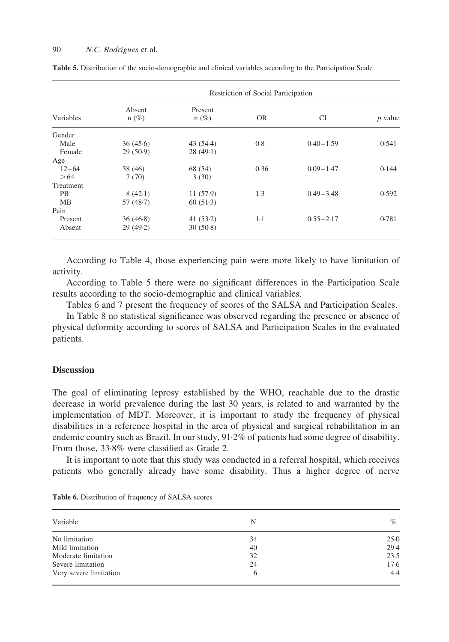|                  |                   |                    | Restriction of Social Participation |               |           |
|------------------|-------------------|--------------------|-------------------------------------|---------------|-----------|
| Variables        | Absent<br>$n(\%)$ | Present<br>$n(\%)$ | OR.                                 | CI            | $p$ value |
| Gender           |                   |                    |                                     |               |           |
| Male             | 36(45.6)          | 43(54.4)           | 0.8                                 | $0.40 - 1.59$ | 0.541     |
| Female           | 29(50.9)          | 28(49.1)           |                                     |               |           |
| Age              |                   |                    |                                     |               |           |
| $12 - 64$        | 58 (46)           | 68 (54)            | 0.36                                | $0.09 - 1.47$ | 0.144     |
| >64              | 7(70)             | 3(30)              |                                     |               |           |
| <b>Treatment</b> |                   |                    |                                     |               |           |
| PB               | 8(42.1)           | 11(57.9)           | 1.3                                 | $0.49 - 3.48$ | 0.592     |
| MВ               | 57(48.7)          | 60(51.3)           |                                     |               |           |
| Pain             |                   |                    |                                     |               |           |
| Present          | 36(46.8)          | 41(53.2)           | $1-1$                               | $0.55 - 2.17$ | 0.781     |
| Absent           | 29(49.2)          | 30(50.8)           |                                     |               |           |

|  |  |  |  |  |  |  | Table 5. Distribution of the socio-demographic and clinical variables according to the Participation Scale |  |
|--|--|--|--|--|--|--|------------------------------------------------------------------------------------------------------------|--|
|--|--|--|--|--|--|--|------------------------------------------------------------------------------------------------------------|--|

According to [Table 4,](#page-4-0) those experiencing pain were more likely to have limitation of activity.

According to Table 5 there were no significant differences in the Participation Scale results according to the socio-demographic and clinical variables.

Tables 6 and 7 present the frequency of scores of the SALSA and Participation Scales.

In [Table 8](#page-6-0) no statistical significance was observed regarding the presence or absence of physical deformity according to scores of SALSA and Participation Scales in the evaluated patients.

# **Discussion**

The goal of eliminating leprosy established by the WHO, reachable due to the drastic decrease in world prevalence during the last 30 years, is related to and warranted by the implementation of MDT. Moreover, it is important to study the frequency of physical disabilities in a reference hospital in the area of physical and surgical rehabilitation in an endemic country such as Brazil. In our study, 91·2% of patients had some degree of disability. From those, 33·8% were classified as Grade 2.

It is important to note that this study was conducted in a referral hospital, which receives patients who generally already have some disability. Thus a higher degree of nerve

| Variable               | N  | $\%$   |
|------------------------|----|--------|
| No limitation          | 34 | 25.0   |
| Mild limitation        | 40 | 29.4   |
| Moderate limitation    | 32 | 23.5   |
| Severe limitation      | 24 | $17-6$ |
| Very severe limitation | 6  | 4.4    |

Table 6. Distribution of frequency of SALSA scores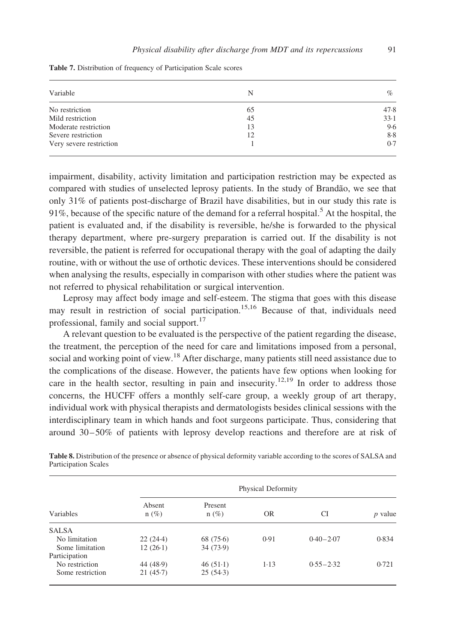| Variable                | N  | $\%$ |
|-------------------------|----|------|
| No restriction          | 65 | 47.8 |
| Mild restriction        | 45 | 33.1 |
| Moderate restriction    | 13 | 9.6  |
| Severe restriction      | 12 | 8.8  |
| Very severe restriction |    | 0.7  |

<span id="page-6-0"></span>Table 7. Distribution of frequency of Participation Scale scores

impairment, disability, activity limitation and participation restriction may be expected as compared with studies of unselected leprosy patients. In the study of Brandão, we see that only 31% of patients post-discharge of Brazil have disabilities, but in our study this rate is 91%, because of the specific nature of the demand for a referral hospital.<sup>[5](#page-8-0)</sup> At the hospital, the patient is evaluated and, if the disability is reversible, he/she is forwarded to the physical therapy department, where pre-surgery preparation is carried out. If the disability is not reversible, the patient is referred for occupational therapy with the goal of adapting the daily routine, with or without the use of orthotic devices. These interventions should be considered when analysing the results, especially in comparison with other studies where the patient was not referred to physical rehabilitation or surgical intervention.

Leprosy may affect body image and self-esteem. The stigma that goes with this disease may result in restriction of social participation.<sup>[15,16](#page-8-0)</sup> Because of that, individuals need professional, family and social support.<sup>[17](#page-9-0)</sup>

A relevant question to be evaluated is the perspective of the patient regarding the disease, the treatment, the perception of the need for care and limitations imposed from a personal, social and working point of view.<sup>[18](#page-9-0)</sup> After discharge, many patients still need assistance due to the complications of the disease. However, the patients have few options when looking for care in the health sector, resulting in pain and insecurity.<sup>[12,19](#page-8-0)</sup> In order to address those concerns, the HUCFF offers a monthly self-care group, a weekly group of art therapy, individual work with physical therapists and dermatologists besides clinical sessions with the interdisciplinary team in which hands and foot surgeons participate. Thus, considering that around 30–50% of patients with leprosy develop reactions and therefore are at risk of

|                  |                   |                    | Physical Deformity |               |           |
|------------------|-------------------|--------------------|--------------------|---------------|-----------|
| Variables        | Absent<br>$n(\%)$ | Present<br>$n(\%)$ | OR                 | CI            | $p$ value |
| <b>SALSA</b>     |                   |                    |                    |               |           |
| No limitation    | 22(24.4)          | 68(75.6)           | 0.91               | $0.40 - 2.07$ | 0.834     |
| Some limitation  | $12(26-1)$        | 34(73.9)           |                    |               |           |
| Participation    |                   |                    |                    |               |           |
| No restriction   | 44 (48.9)         | $46(51-1)$         | $1-13$             | $0.55 - 2.32$ | 0.721     |
| Some restriction | 21(45.7)          | 25(54.3)           |                    |               |           |

Table 8. Distribution of the presence or absence of physical deformity variable according to the scores of SALSA and Participation Scales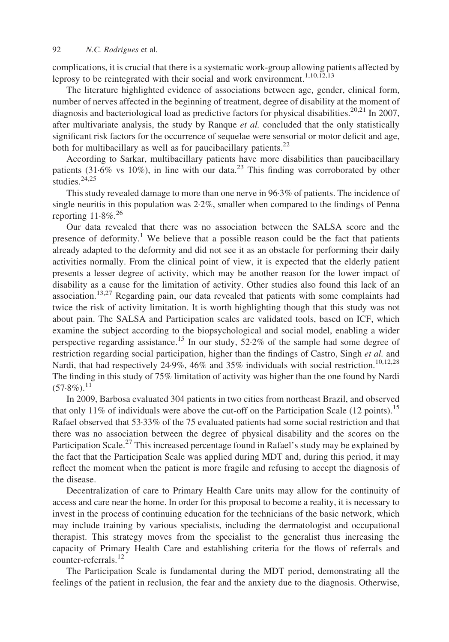complications, it is crucial that there is a systematic work-group allowing patients affected by leprosy to be reintegrated with their social and work environment.<sup>[1,10,12,13](#page-8-0)</sup>

The literature highlighted evidence of associations between age, gender, clinical form, number of nerves affected in the beginning of treatment, degree of disability at the moment of diagnosis and bacteriological load as predictive factors for physical disabilities.<sup>[20,21](#page-9-0)</sup> In 2007, after multivariate analysis, the study by Ranque *et al.* concluded that the only statistically significant risk factors for the occurrence of sequelae were sensorial or motor deficit and age, both for multibacillary as well as for paucibacillary patients. $^{22}$  $^{22}$  $^{22}$ 

According to Sarkar, multibacillary patients have more disabilities than paucibacillary patients (31.6% vs 10%), in line with our data.<sup>[23](#page-9-0)</sup> This finding was corroborated by other studies. $24,25$ 

This study revealed damage to more than one nerve in 96·3% of patients. The incidence of single neuritis in this population was 2·2%, smaller when compared to the findings of Penna reporting  $11.8\%$ <sup>[26](#page-9-0)</sup>

Our data revealed that there was no association between the SALSA score and the presence of deformity.<sup>[1](#page-8-0)</sup> We believe that a possible reason could be the fact that patients already adapted to the deformity and did not see it as an obstacle for performing their daily activities normally. From the clinical point of view, it is expected that the elderly patient presents a lesser degree of activity, which may be another reason for the lower impact of disability as a cause for the limitation of activity. Other studies also found this lack of an association.[13,27](#page-8-0) Regarding pain, our data revealed that patients with some complaints had twice the risk of activity limitation. It is worth highlighting though that this study was not about pain. The SALSA and Participation scales are validated tools, based on ICF, which examine the subject according to the biopsychological and social model, enabling a wider perspective regarding assistance.<sup>[15](#page-8-0)</sup> In our study,  $52.2\%$  of the sample had some degree of restriction regarding social participation, higher than the findings of Castro, Singh et al. and Nardi, that had respectively 24.9%, 46% and 35% individuals with social restriction.<sup>10,12,28</sup> The finding in this study of 75% limitation of activity was higher than the one found by Nardi  $(57.8\%)$ <sup>[11](#page-8-0)</sup>

In 2009, Barbosa evaluated 304 patients in two cities from northeast Brazil, and observed that only 11% of individuals were above the cut-off on the Participation Scale  $(12 \text{ points})$ .<sup>15</sup> Rafael observed that 53·33% of the 75 evaluated patients had some social restriction and that there was no association between the degree of physical disability and the scores on the Participation Scale.<sup>[27](#page-9-0)</sup> This increased percentage found in Rafael's study may be explained by the fact that the Participation Scale was applied during MDT and, during this period, it may reflect the moment when the patient is more fragile and refusing to accept the diagnosis of the disease.

Decentralization of care to Primary Health Care units may allow for the continuity of access and care near the home. In order for this proposal to become a reality, it is necessary to invest in the process of continuing education for the technicians of the basic network, which may include training by various specialists, including the dermatologist and occupational therapist. This strategy moves from the specialist to the generalist thus increasing the capacity of Primary Health Care and establishing criteria for the flows of referrals and counter-referrals.<sup>[12](#page-8-0)</sup>

The Participation Scale is fundamental during the MDT period, demonstrating all the feelings of the patient in reclusion, the fear and the anxiety due to the diagnosis. Otherwise,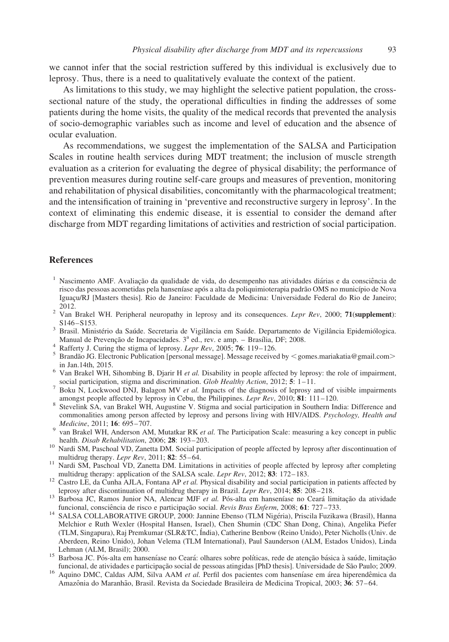<span id="page-8-0"></span>we cannot infer that the social restriction suffered by this individual is exclusively due to leprosy. Thus, there is a need to qualitatively evaluate the context of the patient.

As limitations to this study, we may highlight the selective patient population, the crosssectional nature of the study, the operational difficulties in finding the addresses of some patients during the home visits, the quality of the medical records that prevented the analysis of socio-demographic variables such as income and level of education and the absence of ocular evaluation.

As recommendations, we suggest the implementation of the SALSA and Participation Scales in routine health services during MDT treatment; the inclusion of muscle strength evaluation as a criterion for evaluating the degree of physical disability; the performance of prevention measures during routine self-care groups and measures of prevention, monitoring and rehabilitation of physical disabilities, concomitantly with the pharmacological treatment; and the intensification of training in 'preventive and reconstructive surgery in leprosy'. In the context of eliminating this endemic disease, it is essential to consider the demand after discharge from MDT regarding limitations of activities and restriction of social participation.

## **References**

- $1$  Nascimento AMF. Avaliação da qualidade de vida, do desempenho nas atividades diárias e da consciência de risco das pessoas acometidas pela hanseníase após a alta da poliquimioterapia padrão OMS no município de Nova Iguacu/RJ [Masters thesis]. Rio de Janeiro: Faculdade de Medicina: Universidade Federal do Rio de Janeiro; <sup>2</sup> Van Brakel WH. Peripheral neuropathy in leprosy and its consequences. *Lepr Rev*, 2000; **71(supplement**):
- S146–S153.<br>Brasil. Ministério da Saúde. Secretaria de Vigilância em Saúde. Departamento de Vigilância Epidemiólogica.
- Manual de Prevenção de Incapacidades.  $3^a$  ed., rev. e amp. Brasília, DF; 2008.<br>
<sup>4</sup> Rafferty J. Curing the stigma of leprosy. *Lepr Rev*, 2005; **76**: 119–126.<br>
<sup>5</sup> Brandão JG. Electronic Publication [personal message]
- 
- 
- <sup>6</sup> Van Brakel WH, Sihombing B, Djarir H *et al.* Disability in people affected by leprosy: the role of impairment, social participation, stigma and discrimination. *Glob Healthy Action*, 2012: **5**: 1–11.
- <sup>7</sup> Boku N, Lockwood DNJ, Balagon MV *et al.* Impacts of the diagnosis of leprosy and of visible impairments amongst people affected by leprosy in Cebu, the Philippines. *Lepr Rev*, 2010; **81**: 111–120.
- <sup>8</sup> Stevelink SA, van Brakel WH, Augustine V. Stigma and social participation in Southern India: Difference and commonalities among person affected by leprosy and persons living with HIV/AIDS. Psychology, Health and
- *Medicine*, 2011; **16**: 695–707.<br><sup>9</sup> van Brakel WH, Anderson AM, Mutatkar RK *et al.* The Participation Scale: measuring a key concept in public health. *Disab Rehabilitation*, 2006; **28**: 193–203.
- health. Disab Rehabilitation, 2006; 28: 193–203. 1932. 1933. 10 Nardi SM, Paschoal VD, Zanetta DM. Social participation of people affected by leprosy after discontinuation of
- multidrug therapy. Lepr Rev, 2011; 82: 55–64.  $11$  Nardi SM, Paschoal VD, Zanetta DM. Limitations in activities of people affected by leprosy after completing
- multidrug therapy: application of the SALSA scale. Lepr Rev, 2012; 83: 172–183.<br><sup>12</sup> Castro LE, da Cunha AJLA, Fontana AP *et al.* Physical disability and social participation in patients affected by leprosy after discont
- leprosy and discontinuation of multidrug therapy in Brazil. Lepr Rev, 2014; 85: 208–218.<br><sup>13</sup> Barbosa JC, Ramos Junior NA, Alencar MJF *et al.* Pós-alta em hanseníase no Ceará limitacão da atividade
- funcional, consciência de risco e participação social. Revis Bras Enferm, 2008; 61: 727–733.<br><sup>14</sup> SALSA COLLABORATIVE GROUP, 2000: Jannine Ebenso (TLM Nigéria), Priscila Fuzikawa (Brasil), Hanna Melchior e Ruth Wexler (Hospital Hansen, Israel), Chen Shumin (CDC Shan Dong, China), Angelika Piefer (TLM, Singapura), Raj Premkumar (SLR&TC, I´ndia), Catherine Benbow (Reino Unido), Peter Nicholls (Univ. de Aberdeen, Reino Unido), Johan Velema (TLM International), Paul Saunderson (ALM, Estados Unidos), Linda
- Lehman (ALM, Brasil); 2000.<br><sup>15</sup> Barbosa JC. Pós-alta em hanseníase no Ceará: olhares sobre políticas, rede de atenção básica à saúde, limitação<br>funcional, de atividades e participação social de pessoas atingidas [PhD thes
- <sup>16</sup> Aquino DMC, Caldas AJM, Silva AAM et al. Perfil dos pacientes com hanseníase em área hiperendêmica da Amazônia do Maranhão, Brasil. Revista da Sociedade Brasileira de Medicina Tropical, 2003; 36: 57-64.